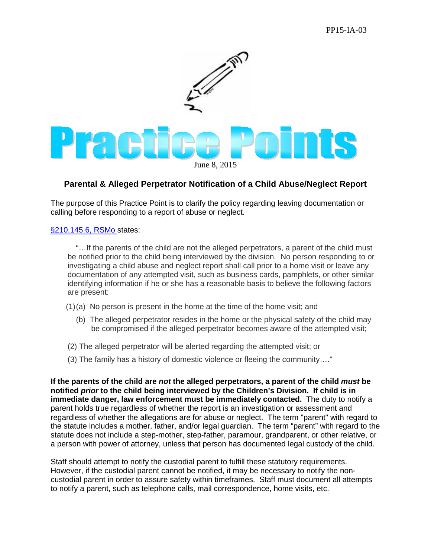

## **Parental & Alleged Perpetrator Notification of a Child Abuse/Neglect Report**

The purpose of this Practice Point is to clarify the policy regarding leaving documentation or calling before responding to a report of abuse or neglect.

## [§210.145.6,](http://www.moga.mo.gov/mostatutes/stathtml/21000001451.html) RSMo states:

"…If the parents of the child are not the alleged perpetrators, a parent of the child must be notified prior to the child being interviewed by the division. No person responding to or investigating a child abuse and neglect report shall call prior to a home visit or leave any documentation of any attempted visit, such as business cards, pamphlets, or other similar identifying information if he or she has a reasonable basis to believe the following factors are present:

- (1)(a) No person is present in the home at the time of the home visit; and
	- (b) The alleged perpetrator resides in the home or the physical safety of the child may be compromised if the alleged perpetrator becomes aware of the attempted visit;
- (2) The alleged perpetrator will be alerted regarding the attempted visit; or
- (3) The family has a history of domestic violence or fleeing the community…."

**If the parents of the child are** *not* **the alleged perpetrators, a parent of the child** *must* **be notified** *prior* **to the child being interviewed by the Children's Division. If child is in immediate danger, law enforcement must be immediately contacted.** The duty to notify a parent holds true regardless of whether the report is an investigation or assessment and regardless of whether the allegations are for abuse or neglect. The term "parent" with regard to the statute includes a mother, father, and/or legal guardian. The term "parent" with regard to the statute does not include a step-mother, step-father, paramour, grandparent, or other relative, or a person with power of attorney, unless that person has documented legal custody of the child.

Staff should attempt to notify the custodial parent to fulfill these statutory requirements. However, if the custodial parent cannot be notified, it may be necessary to notify the noncustodial parent in order to assure safety within timeframes. Staff must document all attempts to notify a parent, such as telephone calls, mail correspondence, home visits, etc.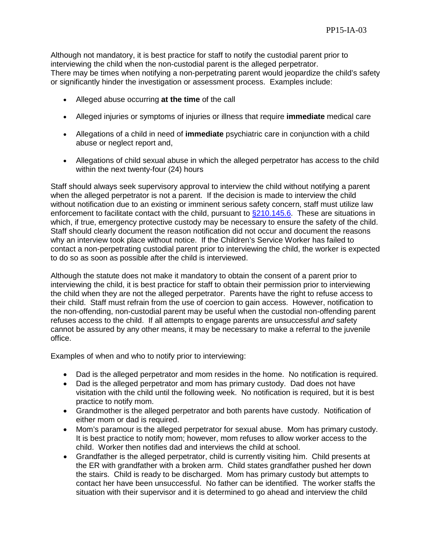Although not mandatory, it is best practice for staff to notify the custodial parent prior to interviewing the child when the non-custodial parent is the alleged perpetrator. There may be times when notifying a non-perpetrating parent would jeopardize the child's safety or significantly hinder the investigation or assessment process. Examples include:

- Alleged abuse occurring **at the time** of the call
- Alleged injuries or symptoms of injuries or illness that require **immediate** medical care
- Allegations of a child in need of **immediate** psychiatric care in conjunction with a child abuse or neglect report and,
- Allegations of child sexual abuse in which the alleged perpetrator has access to the child within the next twenty-four (24) hours

Staff should always seek supervisory approval to interview the child without notifying a parent when the alleged perpetrator is not a parent. If the decision is made to interview the child without notification due to an existing or imminent serious safety concern, staff must utilize law enforcement to facilitate contact with the child, pursuant to [§210.145.6.](http://www.moga.mo.gov/mostatutes/stathtml/21000001451.html) These are situations in which, if true, emergency protective custody may be necessary to ensure the safety of the child. Staff should clearly document the reason notification did not occur and document the reasons why an interview took place without notice. If the Children's Service Worker has failed to contact a non-perpetrating custodial parent prior to interviewing the child, the worker is expected to do so as soon as possible after the child is interviewed.

Although the statute does not make it mandatory to obtain the consent of a parent prior to interviewing the child, it is best practice for staff to obtain their permission prior to interviewing the child when they are not the alleged perpetrator. Parents have the right to refuse access to their child. Staff must refrain from the use of coercion to gain access. However, notification to the non-offending, non-custodial parent may be useful when the custodial non-offending parent refuses access to the child. If all attempts to engage parents are unsuccessful *and* safety cannot be assured by any other means, it may be necessary to make a referral to the juvenile office.

Examples of when and who to notify prior to interviewing:

- Dad is the alleged perpetrator and mom resides in the home. No notification is required.
- Dad is the alleged perpetrator and mom has primary custody. Dad does not have visitation with the child until the following week. No notification is required, but it is best practice to notify mom.
- Grandmother is the alleged perpetrator and both parents have custody. Notification of either mom or dad is required.
- Mom's paramour is the alleged perpetrator for sexual abuse. Mom has primary custody. It is best practice to notify mom; however, mom refuses to allow worker access to the child. Worker then notifies dad and interviews the child at school.
- Grandfather is the alleged perpetrator, child is currently visiting him. Child presents at the ER with grandfather with a broken arm. Child states grandfather pushed her down the stairs. Child is ready to be discharged. Mom has primary custody but attempts to contact her have been unsuccessful. No father can be identified. The worker staffs the situation with their supervisor and it is determined to go ahead and interview the child